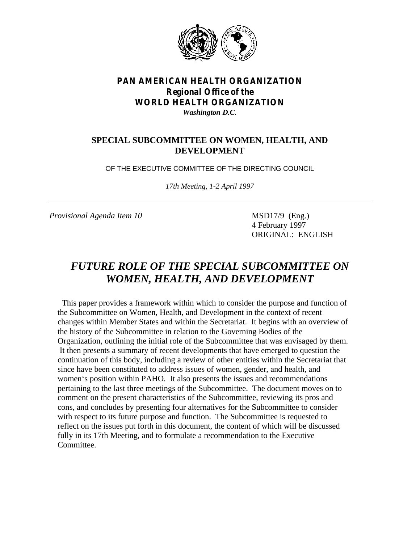

# *PAN AMERICAN HEALTH ORGANIZATION Regional Office of the WORLD HEALTH ORGANIZATION*

*Washington D.C.*

# **SPECIAL SUBCOMMITTEE ON WOMEN, HEALTH, AND DEVELOPMENT**

OF THE EXECUTIVE COMMITTEE OF THE DIRECTING COUNCIL

*17th Meeting, 1-2 April 1997*

*Provisional Agenda Item 10* MSD17/9 (Eng.)

4 February 1997 ORIGINAL: ENGLISH

# *FUTURE ROLE OF THE SPECIAL SUBCOMMITTEE ON WOMEN, HEALTH, AND DEVELOPMENT*

 This paper provides a framework within which to consider the purpose and function of the Subcommittee on Women, Health, and Development in the context of recent changes within Member States and within the Secretariat. It begins with an overview of the history of the Subcommittee in relation to the Governing Bodies of the Organization, outlining the initial role of the Subcommittee that was envisaged by them. It then presents a summary of recent developments that have emerged to question the continuation of this body, including a review of other entities within the Secretariat that since have been constituted to address issues of women, gender, and health, and women's position within PAHO. It also presents the issues and recommendations pertaining to the last three meetings of the Subcommittee. The document moves on to comment on the present characteristics of the Subcommittee, reviewing its pros and cons, and concludes by presenting four alternatives for the Subcommittee to consider with respect to its future purpose and function. The Subcommittee is requested to reflect on the issues put forth in this document, the content of which will be discussed fully in its 17th Meeting, and to formulate a recommendation to the Executive Committee.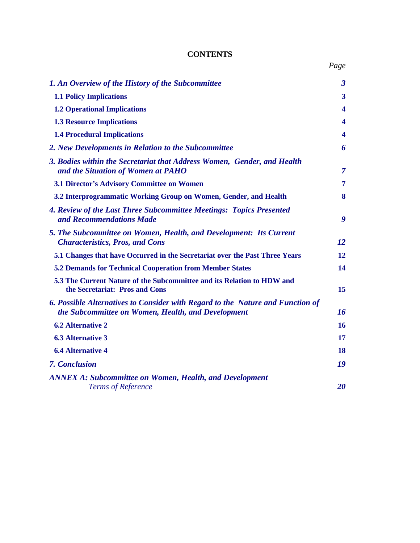# **CONTENTS**

| 1. An Overview of the History of the Subcommittee                                                                                    | $\boldsymbol{\beta}$    |
|--------------------------------------------------------------------------------------------------------------------------------------|-------------------------|
| <b>1.1 Policy Implications</b>                                                                                                       | 3                       |
| <b>1.2 Operational Implications</b>                                                                                                  | 4                       |
| <b>1.3 Resource Implications</b>                                                                                                     | 4                       |
| <b>1.4 Procedural Implications</b>                                                                                                   | $\overline{\mathbf{4}}$ |
| 2. New Developments in Relation to the Subcommittee                                                                                  | 6                       |
| 3. Bodies within the Secretariat that Address Women, Gender, and Health<br>and the Situation of Women at PAHO                        | $\overline{7}$          |
| <b>3.1 Director's Advisory Committee on Women</b>                                                                                    | 7                       |
| 3.2 Interprogrammatic Working Group on Women, Gender, and Health                                                                     | 8                       |
| 4. Review of the Last Three Subcommittee Meetings: Topics Presented<br>and Recommendations Made                                      | 9                       |
| 5. The Subcommittee on Women, Health, and Development: Its Current<br><b>Characteristics, Pros, and Cons</b>                         | 12                      |
| 5.1 Changes that have Occurred in the Secretariat over the Past Three Years                                                          | 12                      |
| <b>5.2 Demands for Technical Cooperation from Member States</b>                                                                      | 14                      |
| 5.3 The Current Nature of the Subcommittee and its Relation to HDW and<br>the Secretariat: Pros and Cons                             | 15                      |
| 6. Possible Alternatives to Consider with Regard to the Nature and Function of<br>the Subcommittee on Women, Health, and Development | 16                      |
| <b>6.2 Alternative 2</b>                                                                                                             | 16                      |
| <b>6.3 Alternative 3</b>                                                                                                             | 17                      |
| <b>6.4 Alternative 4</b>                                                                                                             | 18                      |
| <b>7. Conclusion</b>                                                                                                                 | 19                      |
| <b>ANNEX A: Subcommittee on Women, Health, and Development</b><br><b>Terms of Reference</b>                                          | 20                      |
|                                                                                                                                      |                         |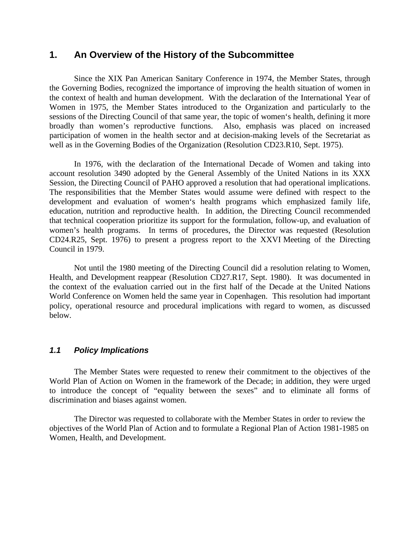## <span id="page-2-0"></span>**1. An Overview of the History of the Subcommittee**

Since the XIX Pan American Sanitary Conference in 1974, the Member States, through the Governing Bodies, recognized the importance of improving the health situation of women in the context of health and human development. With the declaration of the International Year of Women in 1975, the Member States introduced to the Organization and particularly to the sessions of the Directing Council of that same year, the topic of women's health, defining it more broadly than women's reproductive functions. Also, emphasis was placed on increased participation of women in the health sector and at decision-making levels of the Secretariat as well as in the Governing Bodies of the Organization (Resolution CD23.R10, Sept. 1975).

In 1976, with the declaration of the International Decade of Women and taking into account resolution 3490 adopted by the General Assembly of the United Nations in its XXX Session, the Directing Council of PAHO approved a resolution that had operational implications. The responsibilities that the Member States would assume were defined with respect to the development and evaluation of women's health programs which emphasized family life, education, nutrition and reproductive health. In addition, the Directing Council recommended that technical cooperation prioritize its support for the formulation, follow-up, and evaluation of women's health programs. In terms of procedures, the Director was requested (Resolution CD24.R25, Sept. 1976) to present a progress report to the XXVI Meeting of the Directing Council in 1979.

Not until the 1980 meeting of the Directing Council did a resolution relating to Women, Health, and Development reappear (Resolution CD27.R17, Sept. 1980). It was documented in the context of the evaluation carried out in the first half of the Decade at the United Nations World Conference on Women held the same year in Copenhagen. This resolution had important policy, operational resource and procedural implications with regard to women, as discussed below.

## *1.1 Policy Implications*

The Member States were requested to renew their commitment to the objectives of the World Plan of Action on Women in the framework of the Decade; in addition, they were urged to introduce the concept of "equality between the sexes" and to eliminate all forms of discrimination and biases against women.

The Director was requested to collaborate with the Member States in order to review the objectives of the World Plan of Action and to formulate a Regional Plan of Action 1981-1985 on Women, Health, and Development.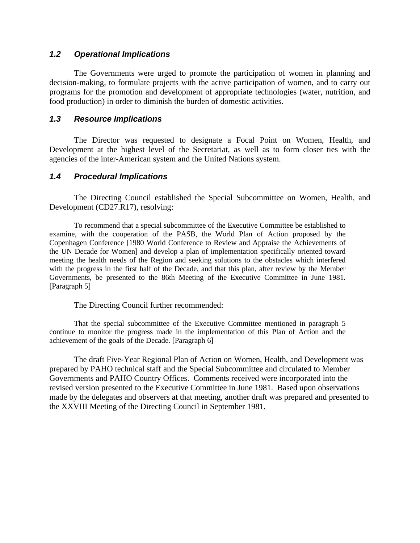### <span id="page-3-0"></span>*1.2 Operational Implications*

The Governments were urged to promote the participation of women in planning and decision-making, to formulate projects with the active participation of women, and to carry out programs for the promotion and development of appropriate technologies (water, nutrition, and food production) in order to diminish the burden of domestic activities.

#### *1.3 Resource Implications*

The Director was requested to designate a Focal Point on Women, Health, and Development at the highest level of the Secretariat, as well as to form closer ties with the agencies of the inter-American system and the United Nations system.

#### *1.4 Procedural Implications*

The Directing Council established the Special Subcommittee on Women, Health, and Development (CD27.R17), resolving:

To recommend that a special subcommittee of the Executive Committee be established to examine, with the cooperation of the PASB, the World Plan of Action proposed by the Copenhagen Conference [1980 World Conference to Review and Appraise the Achievements of the UN Decade for Women] and develop a plan of implementation specifically oriented toward meeting the health needs of the Region and seeking solutions to the obstacles which interfered with the progress in the first half of the Decade, and that this plan, after review by the Member Governments, be presented to the 86th Meeting of the Executive Committee in June 1981. [Paragraph 5]

The Directing Council further recommended:

That the special subcommittee of the Executive Committee mentioned in paragraph 5 continue to monitor the progress made in the implementation of this Plan of Action and the achievement of the goals of the Decade. [Paragraph 6]

The draft Five-Year Regional Plan of Action on Women, Health, and Development was prepared by PAHO technical staff and the Special Subcommittee and circulated to Member Governments and PAHO Country Offices. Comments received were incorporated into the revised version presented to the Executive Committee in June 1981. Based upon observations made by the delegates and observers at that meeting, another draft was prepared and presented to the XXVIII Meeting of the Directing Council in September 1981.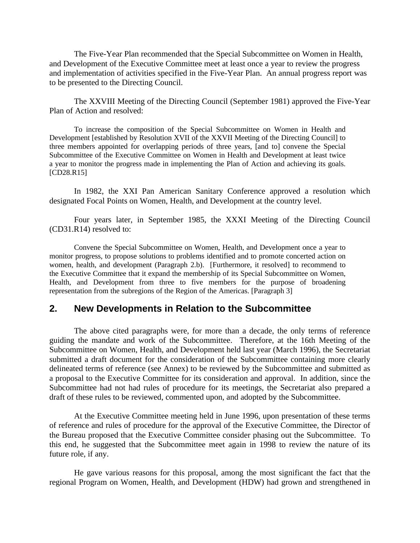The Five-Year Plan recommended that the Special Subcommittee on Women in Health, and Development of the Executive Committee meet at least once a year to review the progress and implementation of activities specified in the Five-Year Plan. An annual progress report was to be presented to the Directing Council.

The XXVIII Meeting of the Directing Council (September 1981) approved the Five-Year Plan of Action and resolved:

To increase the composition of the Special Subcommittee on Women in Health and Development [established by Resolution XVII of the XXVII Meeting of the Directing Council] to three members appointed for overlapping periods of three years, [and to] convene the Special Subcommittee of the Executive Committee on Women in Health and Development at least twice a year to monitor the progress made in implementing the Plan of Action and achieving its goals. [CD28.R15]

In 1982, the XXI Pan American Sanitary Conference approved a resolution which designated Focal Points on Women, Health, and Development at the country level.

Four years later, in September 1985, the XXXI Meeting of the Directing Council (CD31.R14) resolved to:

<span id="page-4-0"></span>Convene the Special Subcommittee on Women, Health, and Development once a year to monitor progress, to propose solutions to problems identified and to promote concerted action on women, health, and development (Paragraph 2.b). [Furthermore, it resolved] to recommend to the Executive Committee that it expand the membership of its Special Subcommittee on Women, Health, and Development from three to five members for the purpose of broadening representation from the subregions of the Region of the Americas. [Paragraph 3]

## **2. New Developments in Relation to the Subcommittee**

The above cited paragraphs were, for more than a decade, the only terms of reference guiding the mandate and work of the Subcommittee. Therefore, at the 16th Meeting of the Subcommittee on Women, Health, and Development held last year (March 1996), the Secretariat submitted a draft document for the consideration of the Subcommittee containing more clearly delineated terms of reference (see Annex) to be reviewed by the Subcommittee and submitted as a proposal to the Executive Committee for its consideration and approval. In addition, since the Subcommittee had not had rules of procedure for its meetings, the Secretariat also prepared a draft of these rules to be reviewed, commented upon, and adopted by the Subcommittee.

At the Executive Committee meeting held in June 1996, upon presentation of these terms of reference and rules of procedure for the approval of the Executive Committee, the Director of the Bureau proposed that the Executive Committee consider phasing out the Subcommittee. To this end, he suggested that the Subcommittee meet again in 1998 to review the nature of its future role, if any.

He gave various reasons for this proposal, among the most significant the fact that the regional Program on Women, Health, and Development (HDW) had grown and strengthened in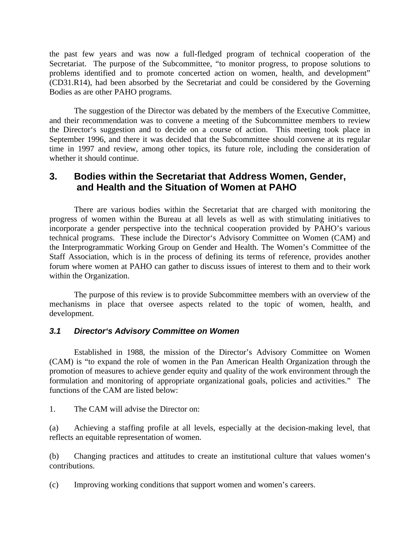the past few years and was now a full-fledged program of technical cooperation of the Secretariat. The purpose of the Subcommittee, "to monitor progress, to propose solutions to problems identified and to promote concerted action on women, health, and development" (CD31.R14), had been absorbed by the Secretariat and could be considered by the Governing Bodies as are other PAHO programs.

The suggestion of the Director was debated by the members of the Executive Committee, and their recommendation was to convene a meeting of the Subcommittee members to review the Director's suggestion and to decide on a course of action. This meeting took place in September 1996, and there it was decided that the Subcommittee should convene at its regular time in 1997 and review, among other topics, its future role, including the consideration of whether it should continue.

# **3. Bodies within the Secretariat that Address Women, Gender, and Health and the Situation of Women at PAHO**

<span id="page-5-0"></span>There are various bodies within the Secretariat that are charged with monitoring the progress of women within the Bureau at all levels as well as with stimulating initiatives to incorporate a gender perspective into the technical cooperation provided by PAHO's various technical programs. These include the Director's Advisory Committee on Women (CAM) and the Interprogrammatic Working Group on Gender and Health. The Women's Committee of the Staff Association, which is in the process of defining its terms of reference, provides another forum where women at PAHO can gather to discuss issues of interest to them and to their work within the Organization.

The purpose of this review is to provide Subcommittee members with an overview of the mechanisms in place that oversee aspects related to the topic of women, health, and development.

## *3.1 Director's Advisory Committee on Women*

Established in 1988, the mission of the Director's Advisory Committee on Women (CAM) is "to expand the role of women in the Pan American Health Organization through the promotion of measures to achieve gender equity and quality of the work environment through the formulation and monitoring of appropriate organizational goals, policies and activities." The functions of the CAM are listed below:

1. The CAM will advise the Director on:

(a) Achieving a staffing profile at all levels, especially at the decision-making level, that reflects an equitable representation of women.

(b) Changing practices and attitudes to create an institutional culture that values women's contributions.

(c) Improving working conditions that support women and women's careers.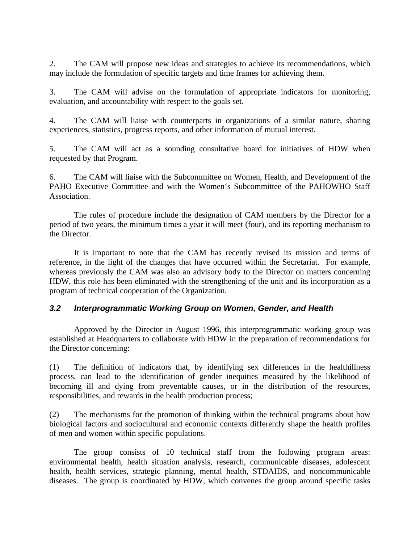2. The CAM will propose new ideas and strategies to achieve its recommendations, which may include the formulation of specific targets and time frames for achieving them.

3. The CAM will advise on the formulation of appropriate indicators for monitoring, evaluation, and accountability with respect to the goals set.

4. The CAM will liaise with counterparts in organizations of a similar nature, sharing experiences, statistics, progress reports, and other information of mutual interest.

5. The CAM will act as a sounding consultative board for initiatives of HDW when requested by that Program.

6. The CAM will liaise with the Subcommittee on Women, Health, and Development of the PAHO Executive Committee and with the Women's Subcommittee of the PAHOWHO Staff Association.

The rules of procedure include the designation of CAM members by the Director for a period of two years, the minimum times a year it will meet (four), and its reporting mechanism to the Director.

<span id="page-6-0"></span>It is important to note that the CAM has recently revised its mission and terms of reference, in the light of the changes that have occurred within the Secretariat. For example, whereas previously the CAM was also an advisory body to the Director on matters concerning HDW, this role has been eliminated with the strengthening of the unit and its incorporation as a program of technical cooperation of the Organization.

## *3.2 Interprogrammatic Working Group on Women, Gender, and Health*

Approved by the Director in August 1996, this interprogrammatic working group was established at Headquarters to collaborate with HDW in the preparation of recommendations for the Director concerning:

(1) The definition of indicators that, by identifying sex differences in the healthillness process, can lead to the identification of gender inequities measured by the likelihood of becoming ill and dying from preventable causes, or in the distribution of the resources, responsibilities, and rewards in the health production process;

(2) The mechanisms for the promotion of thinking within the technical programs about how biological factors and sociocultural and economic contexts differently shape the health profiles of men and women within specific populations.

The group consists of 10 technical staff from the following program areas: environmental health, health situation analysis, research, communicable diseases, adolescent health, health services, strategic planning, mental health, STDAIDS, and noncommunicable diseases. The group is coordinated by HDW, which convenes the group around specific tasks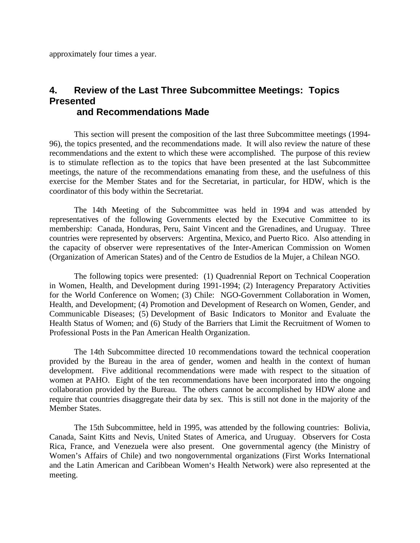approximately four times a year.

# <span id="page-7-0"></span>**4. Review of the Last Three Subcommittee Meetings: Topics Presented and Recommendations Made**

This section will present the composition of the last three Subcommittee meetings (1994- 96), the topics presented, and the recommendations made. It will also review the nature of these recommendations and the extent to which these were accomplished. The purpose of this review is to stimulate reflection as to the topics that have been presented at the last Subcommittee meetings, the nature of the recommendations emanating from these, and the usefulness of this exercise for the Member States and for the Secretariat, in particular, for HDW, which is the coordinator of this body within the Secretariat.

The 14th Meeting of the Subcommittee was held in 1994 and was attended by representatives of the following Governments elected by the Executive Committee to its membership: Canada, Honduras, Peru, Saint Vincent and the Grenadines, and Uruguay. Three countries were represented by observers: Argentina, Mexico, and Puerto Rico. Also attending in the capacity of observer were representatives of the Inter-American Commission on Women (Organization of American States) and of the Centro de Estudios de la Mujer, a Chilean NGO.

The following topics were presented: (1) Quadrennial Report on Technical Cooperation in Women, Health, and Development during 1991-1994; (2) Interagency Preparatory Activities for the World Conference on Women; (3) Chile: NGO-Government Collaboration in Women, Health, and Development; (4) Promotion and Development of Research on Women, Gender, and Communicable Diseases; (5) Development of Basic Indicators to Monitor and Evaluate the Health Status of Women; and (6) Study of the Barriers that Limit the Recruitment of Women to Professional Posts in the Pan American Health Organization.

The 14th Subcommittee directed 10 recommendations toward the technical cooperation provided by the Bureau in the area of gender, women and health in the context of human development. Five additional recommendations were made with respect to the situation of women at PAHO. Eight of the ten recommendations have been incorporated into the ongoing collaboration provided by the Bureau. The others cannot be accomplished by HDW alone and require that countries disaggregate their data by sex. This is still not done in the majority of the Member States.

The 15th Subcommittee, held in 1995, was attended by the following countries: Bolivia, Canada, Saint Kitts and Nevis, United States of America, and Uruguay. Observers for Costa Rica, France, and Venezuela were also present. One governmental agency (the Ministry of Women's Affairs of Chile) and two nongovernmental organizations (First Works International and the Latin American and Caribbean Women's Health Network) were also represented at the meeting.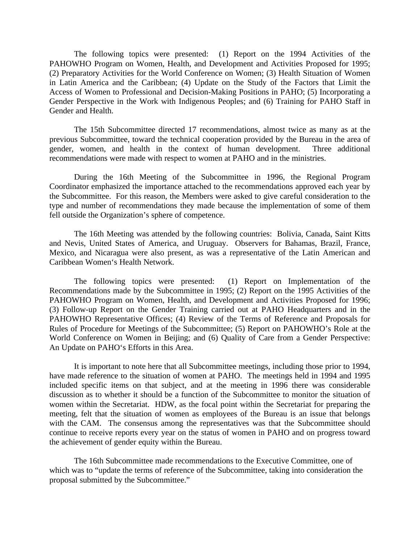The following topics were presented: (1) Report on the 1994 Activities of the PAHOWHO Program on Women, Health, and Development and Activities Proposed for 1995; (2) Preparatory Activities for the World Conference on Women; (3) Health Situation of Women in Latin America and the Caribbean; (4) Update on the Study of the Factors that Limit the Access of Women to Professional and Decision-Making Positions in PAHO; (5) Incorporating a Gender Perspective in the Work with Indigenous Peoples; and (6) Training for PAHO Staff in Gender and Health.

The 15th Subcommittee directed 17 recommendations, almost twice as many as at the previous Subcommittee, toward the technical cooperation provided by the Bureau in the area of gender, women, and health in the context of human development. Three additional recommendations were made with respect to women at PAHO and in the ministries.

During the 16th Meeting of the Subcommittee in 1996, the Regional Program Coordinator emphasized the importance attached to the recommendations approved each year by the Subcommittee. For this reason, the Members were asked to give careful consideration to the type and number of recommendations they made because the implementation of some of them fell outside the Organization's sphere of competence.

The 16th Meeting was attended by the following countries: Bolivia, Canada, Saint Kitts and Nevis, United States of America, and Uruguay. Observers for Bahamas, Brazil, France, Mexico, and Nicaragua were also present, as was a representative of the Latin American and Caribbean Women's Health Network.

The following topics were presented: (1) Report on Implementation of the Recommendations made by the Subcommittee in 1995; (2) Report on the 1995 Activities of the PAHOWHO Program on Women, Health, and Development and Activities Proposed for 1996; (3) Follow-up Report on the Gender Training carried out at PAHO Headquarters and in the PAHOWHO Representative Offices; (4) Review of the Terms of Reference and Proposals for Rules of Procedure for Meetings of the Subcommittee; (5) Report on PAHOWHO's Role at the World Conference on Women in Beijing; and (6) Quality of Care from a Gender Perspective: An Update on PAHO's Efforts in this Area.

It is important to note here that all Subcommittee meetings, including those prior to 1994, have made reference to the situation of women at PAHO. The meetings held in 1994 and 1995 included specific items on that subject, and at the meeting in 1996 there was considerable discussion as to whether it should be a function of the Subcommittee to monitor the situation of women within the Secretariat. HDW, as the focal point within the Secretariat for preparing the meeting, felt that the situation of women as employees of the Bureau is an issue that belongs with the CAM. The consensus among the representatives was that the Subcommittee should continue to receive reports every year on the status of women in PAHO and on progress toward the achievement of gender equity within the Bureau.

The 16th Subcommittee made recommendations to the Executive Committee, one of which was to "update the terms of reference of the Subcommittee, taking into consideration the proposal submitted by the Subcommittee."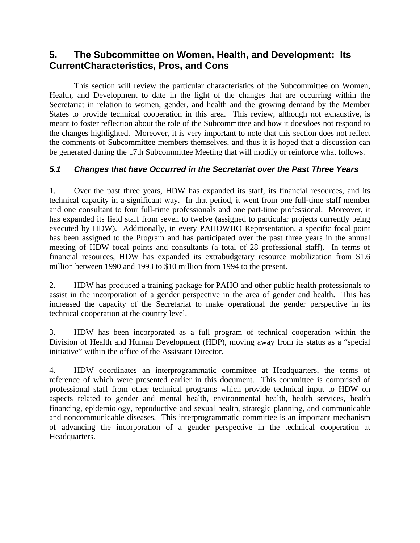# <span id="page-9-0"></span>**5. The Subcommittee on Women, Health, and Development: Its CurrentCharacteristics, Pros, and Cons**

This section will review the particular characteristics of the Subcommittee on Women, Health, and Development to date in the light of the changes that are occurring within the Secretariat in relation to women, gender, and health and the growing demand by the Member States to provide technical cooperation in this area. This review, although not exhaustive, is meant to foster reflection about the role of the Subcommittee and how it doesdoes not respond to the changes highlighted. Moreover, it is very important to note that this section does not reflect the comments of Subcommittee members themselves, and thus it is hoped that a discussion can be generated during the 17th Subcommittee Meeting that will modify or reinforce what follows.

# *5.1 Changes that have Occurred in the Secretariat over the Past Three Years*

1. Over the past three years, HDW has expanded its staff, its financial resources, and its technical capacity in a significant way. In that period, it went from one full-time staff member and one consultant to four full-time professionals and one part-time professional. Moreover, it has expanded its field staff from seven to twelve (assigned to particular projects currently being executed by HDW). Additionally, in every PAHOWHO Representation, a specific focal point has been assigned to the Program and has participated over the past three years in the annual meeting of HDW focal points and consultants (a total of 28 professional staff). In terms of financial resources, HDW has expanded its extrabudgetary resource mobilization from \$1.6 million between 1990 and 1993 to \$10 million from 1994 to the present.

2. HDW has produced a training package for PAHO and other public health professionals to assist in the incorporation of a gender perspective in the area of gender and health. This has increased the capacity of the Secretariat to make operational the gender perspective in its technical cooperation at the country level.

3. HDW has been incorporated as a full program of technical cooperation within the Division of Health and Human Development (HDP), moving away from its status as a "special initiative" within the office of the Assistant Director.

4. HDW coordinates an interprogrammatic committee at Headquarters, the terms of reference of which were presented earlier in this document. This committee is comprised of professional staff from other technical programs which provide technical input to HDW on aspects related to gender and mental health, environmental health, health services, health financing, epidemiology, reproductive and sexual health, strategic planning, and communicable and noncommunicable diseases. This interprogrammatic committee is an important mechanism of advancing the incorporation of a gender perspective in the technical cooperation at Headquarters.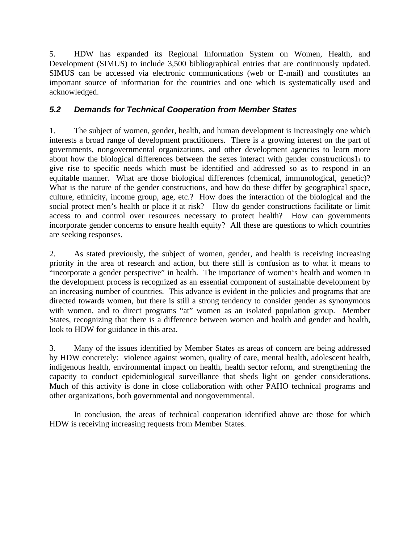5. HDW has expanded its Regional Information System on Women, Health, and Development (SIMUS) to include 3,500 bibliographical entries that are continuously updated. SIMUS can be accessed via electronic communications (web or E-mail) and constitutes an important source of information for the countries and one which is systematically used and acknowledged.

# <span id="page-10-0"></span>*5.2 Demands for Technical Cooperation from Member States*

1. The subject of women, gender, health, and human development is increasingly one which interests a broad range of development practitioners. There is a growing interest on the part of governments, nongovernmental organizations, and other development agencies to learn more about how the biological differences between the sexes interact with gender constructions $1<sub>1</sub>$  to give rise to specific needs which must be identified and addressed so as to respond in an equitable manner. What are those biological differences (chemical, immunological, genetic)? What is the nature of the gender constructions, and how do these differ by geographical space, culture, ethnicity, income group, age, etc.? How does the interaction of the biological and the social protect men's health or place it at risk? How do gender constructions facilitate or limit access to and control over resources necessary to protect health? How can governments incorporate gender concerns to ensure health equity? All these are questions to which countries are seeking responses.

2. As stated previously, the subject of women, gender, and health is receiving increasing priority in the area of research and action, but there still is confusion as to what it means to "incorporate a gender perspective" in health. The importance of women's health and women in the development process is recognized as an essential component of sustainable development by an increasing number of countries. This advance is evident in the policies and programs that are directed towards women, but there is still a strong tendency to consider gender as synonymous with women, and to direct programs "at" women as an isolated population group. Member States, recognizing that there is a difference between women and health and gender and health, look to HDW for guidance in this area.

3. Many of the issues identified by Member States as areas of concern are being addressed by HDW concretely: violence against women, quality of care, mental health, adolescent health, indigenous health, environmental impact on health, health sector reform, and strengthening the capacity to conduct epidemiological surveillance that sheds light on gender considerations. Much of this activity is done in close collaboration with other PAHO technical programs and other organizations, both governmental and nongovernmental.

In conclusion, the areas of technical cooperation identified above are those for which HDW is receiving increasing requests from Member States.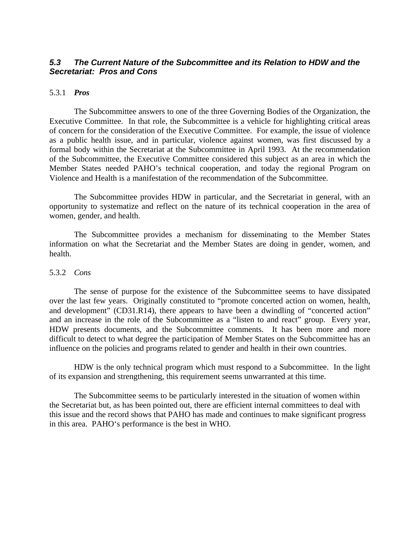## <span id="page-11-0"></span>*5.3 The Current Nature of the Subcommittee and its Relation to HDW and the Secretariat: Pros and Cons*

#### 5.3.1 *Pros*

The Subcommittee answers to one of the three Governing Bodies of the Organization, the Executive Committee. In that role, the Subcommittee is a vehicle for highlighting critical areas of concern for the consideration of the Executive Committee. For example, the issue of violence as a public health issue, and in particular, violence against women, was first discussed by a formal body within the Secretariat at the Subcommittee in April 1993. At the recommendation of the Subcommittee, the Executive Committee considered this subject as an area in which the Member States needed PAHO's technical cooperation, and today the regional Program on Violence and Health is a manifestation of the recommendation of the Subcommittee.

The Subcommittee provides HDW in particular, and the Secretariat in general, with an opportunity to systematize and reflect on the nature of its technical cooperation in the area of women, gender, and health.

The Subcommittee provides a mechanism for disseminating to the Member States information on what the Secretariat and the Member States are doing in gender, women, and health.

#### 5.3.2 *Cons*

The sense of purpose for the existence of the Subcommittee seems to have dissipated over the last few years. Originally constituted to "promote concerted action on women, health, and development" (CD31.R14), there appears to have been a dwindling of "concerted action" and an increase in the role of the Subcommittee as a "listen to and react" group. Every year, HDW presents documents, and the Subcommittee comments. It has been more and more difficult to detect to what degree the participation of Member States on the Subcommittee has an influence on the policies and programs related to gender and health in their own countries.

HDW is the only technical program which must respond to a Subcommittee. In the light of its expansion and strengthening, this requirement seems unwarranted at this time.

The Subcommittee seems to be particularly interested in the situation of women within the Secretariat but, as has been pointed out, there are efficient internal committees to deal with this issue and the record shows that PAHO has made and continues to make significant progress in this area. PAHO's performance is the best in WHO.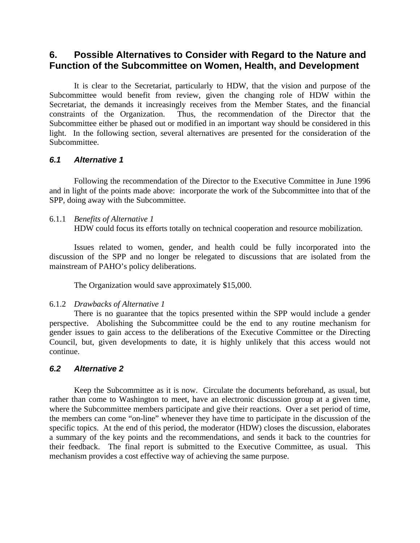# <span id="page-12-0"></span>**6. Possible Alternatives to Consider with Regard to the Nature and Function of the Subcommittee on Women, Health, and Development**

It is clear to the Secretariat, particularly to HDW, that the vision and purpose of the Subcommittee would benefit from review, given the changing role of HDW within the Secretariat, the demands it increasingly receives from the Member States, and the financial constraints of the Organization. Thus, the recommendation of the Director that the Subcommittee either be phased out or modified in an important way should be considered in this light. In the following section, several alternatives are presented for the consideration of the Subcommittee.

### *6.1 Alternative 1*

Following the recommendation of the Director to the Executive Committee in June 1996 and in light of the points made above: incorporate the work of the Subcommittee into that of the SPP, doing away with the Subcommittee.

#### 6.1.1 *Benefits of Alternative 1*

HDW could focus its efforts totally on technical cooperation and resource mobilization.

Issues related to women, gender, and health could be fully incorporated into the discussion of the SPP and no longer be relegated to discussions that are isolated from the mainstream of PAHO's policy deliberations.

The Organization would save approximately \$15,000.

#### 6.1.2 *Drawbacks of Alternative 1*

There is no guarantee that the topics presented within the SPP would include a gender perspective. Abolishing the Subcommittee could be the end to any routine mechanism for gender issues to gain access to the deliberations of the Executive Committee or the Directing Council, but, given developments to date, it is highly unlikely that this access would not continue.

#### *6.2 Alternative 2*

Keep the Subcommittee as it is now. Circulate the documents beforehand, as usual, but rather than come to Washington to meet, have an electronic discussion group at a given time, where the Subcommittee members participate and give their reactions. Over a set period of time, the members can come "on-line" whenever they have time to participate in the discussion of the specific topics. At the end of this period, the moderator (HDW) closes the discussion, elaborates a summary of the key points and the recommendations, and sends it back to the countries for their feedback. The final report is submitted to the Executive Committee, as usual. This mechanism provides a cost effective way of achieving the same purpose.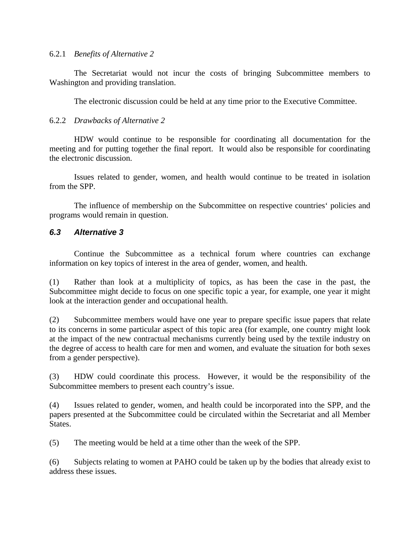#### 6.2.1 *Benefits of Alternative 2*

The Secretariat would not incur the costs of bringing Subcommittee members to Washington and providing translation.

The electronic discussion could be held at any time prior to the Executive Committee.

### 6.2.2 *Drawbacks of Alternative 2*

HDW would continue to be responsible for coordinating all documentation for the meeting and for putting together the final report. It would also be responsible for coordinating the electronic discussion.

Issues related to gender, women, and health would continue to be treated in isolation from the SPP.

The influence of membership on the Subcommittee on respective countries' policies and programs would remain in question.

### <span id="page-13-0"></span>*6.3 Alternative 3*

Continue the Subcommittee as a technical forum where countries can exchange information on key topics of interest in the area of gender, women, and health.

(1) Rather than look at a multiplicity of topics, as has been the case in the past, the Subcommittee might decide to focus on one specific topic a year, for example, one year it might look at the interaction gender and occupational health.

(2) Subcommittee members would have one year to prepare specific issue papers that relate to its concerns in some particular aspect of this topic area (for example, one country might look at the impact of the new contractual mechanisms currently being used by the textile industry on the degree of access to health care for men and women, and evaluate the situation for both sexes from a gender perspective).

(3) HDW could coordinate this process. However, it would be the responsibility of the Subcommittee members to present each country's issue.

(4) Issues related to gender, women, and health could be incorporated into the SPP, and the papers presented at the Subcommittee could be circulated within the Secretariat and all Member States.

(5) The meeting would be held at a time other than the week of the SPP.

(6) Subjects relating to women at PAHO could be taken up by the bodies that already exist to address these issues.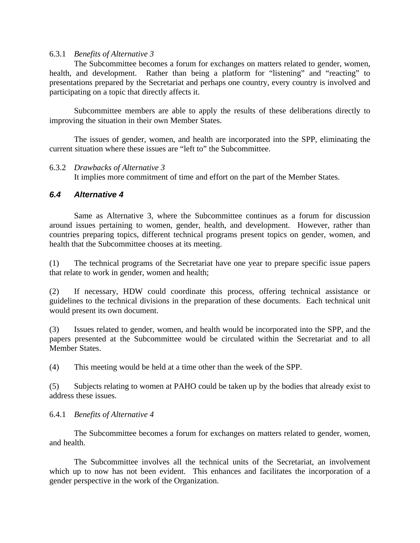#### 6.3.1 *Benefits of Alternative 3*

The Subcommittee becomes a forum for exchanges on matters related to gender, women, health, and development. Rather than being a platform for "listening" and "reacting" to presentations prepared by the Secretariat and perhaps one country, every country is involved and participating on a topic that directly affects it.

Subcommittee members are able to apply the results of these deliberations directly to improving the situation in their own Member States.

The issues of gender, women, and health are incorporated into the SPP, eliminating the current situation where these issues are "left to" the Subcommittee.

#### 6.3.2 *Drawbacks of Alternative 3*

It implies more commitment of time and effort on the part of the Member States.

#### <span id="page-14-0"></span>*6.4 Alternative 4*

Same as Alternative 3, where the Subcommittee continues as a forum for discussion around issues pertaining to women, gender, health, and development. However, rather than countries preparing topics, different technical programs present topics on gender, women, and health that the Subcommittee chooses at its meeting.

(1) The technical programs of the Secretariat have one year to prepare specific issue papers that relate to work in gender, women and health;

(2) If necessary, HDW could coordinate this process, offering technical assistance or guidelines to the technical divisions in the preparation of these documents. Each technical unit would present its own document.

(3) Issues related to gender, women, and health would be incorporated into the SPP, and the papers presented at the Subcommittee would be circulated within the Secretariat and to all Member States.

(4) This meeting would be held at a time other than the week of the SPP.

(5) Subjects relating to women at PAHO could be taken up by the bodies that already exist to address these issues.

#### 6.4.1 *Benefits of Alternative 4*

The Subcommittee becomes a forum for exchanges on matters related to gender, women, and health.

The Subcommittee involves all the technical units of the Secretariat, an involvement which up to now has not been evident. This enhances and facilitates the incorporation of a gender perspective in the work of the Organization.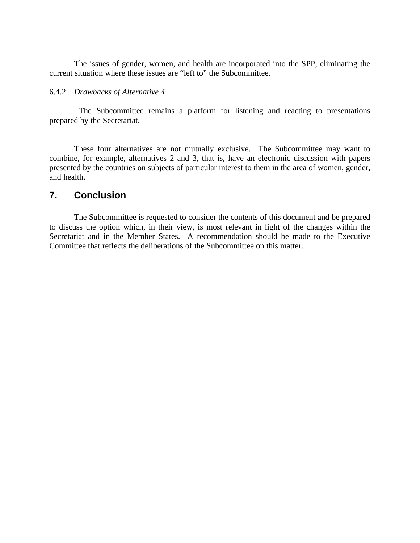The issues of gender, women, and health are incorporated into the SPP, eliminating the current situation where these issues are "left to" the Subcommittee.

#### 6.4.2 *Drawbacks of Alternative 4*

 The Subcommittee remains a platform for listening and reacting to presentations prepared by the Secretariat.

These four alternatives are not mutually exclusive. The Subcommittee may want to combine, for example, alternatives 2 and 3, that is, have an electronic discussion with papers presented by the countries on subjects of particular interest to them in the area of women, gender, and health.

# <span id="page-15-0"></span>**7. Conclusion**

The Subcommittee is requested to consider the contents of this document and be prepared to discuss the option which, in their view, is most relevant in light of the changes within the Secretariat and in the Member States. A recommendation should be made to the Executive Committee that reflects the deliberations of the Subcommittee on this matter.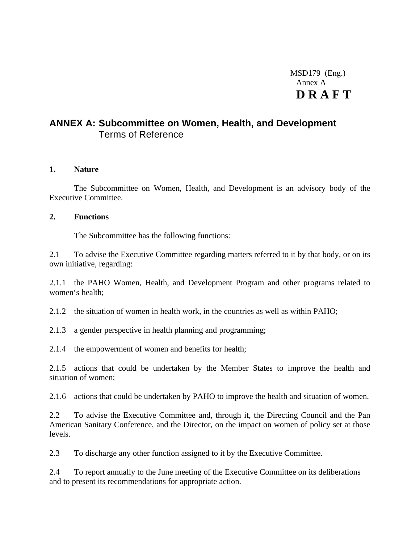# MSD179 (Eng.) Annex A **D R A F T**

# <span id="page-16-0"></span>**ANNEX A: Subcommittee on Women, Health, and Development** Terms of Reference

#### **1. Nature**

The Subcommittee on Women, Health, and Development is an advisory body of the Executive Committee.

#### **2. Functions**

The Subcommittee has the following functions:

2.1 To advise the Executive Committee regarding matters referred to it by that body, or on its own initiative, regarding:

2.1.1 the PAHO Women, Health, and Development Program and other programs related to women's health;

2.1.2 the situation of women in health work, in the countries as well as within PAHO;

2.1.3 a gender perspective in health planning and programming;

2.1.4 the empowerment of women and benefits for health;

2.1.5 actions that could be undertaken by the Member States to improve the health and situation of women;

2.1.6 actions that could be undertaken by PAHO to improve the health and situation of women.

2.2 To advise the Executive Committee and, through it, the Directing Council and the Pan American Sanitary Conference, and the Director, on the impact on women of policy set at those levels.

2.3 To discharge any other function assigned to it by the Executive Committee.

2.4 To report annually to the June meeting of the Executive Committee on its deliberations and to present its recommendations for appropriate action.